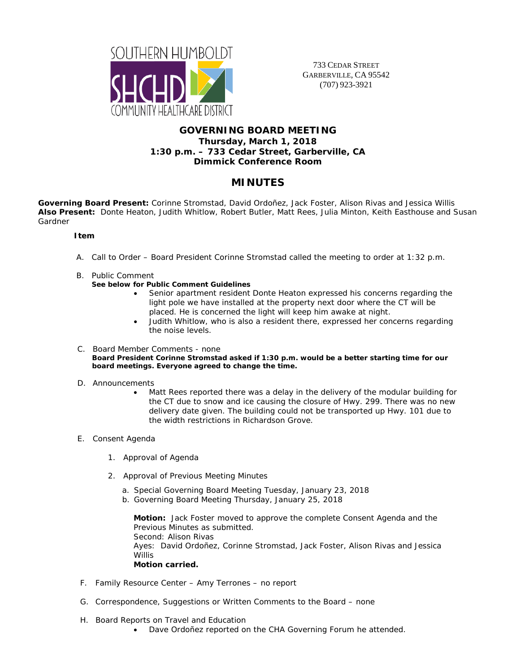

733 CEDAR STREET GARBERVILLE, CA 95542 (707) 923-3921

# **GOVERNING BOARD MEETING Thursday, March 1, 2018 1:30 p.m. – 733 Cedar Street, Garberville, CA Dimmick Conference Room**

# **MINUTES**

**Governing Board Present:** Corinne Stromstad, David Ordoñez, Jack Foster, Alison Rivas and Jessica Willis **Also Present:** Donte Heaton, Judith Whitlow, Robert Butler, Matt Rees, Julia Minton, Keith Easthouse and Susan Gardner

# **Item**

- A. Call to Order Board President Corinne Stromstad called the meeting to order at 1:32 p.m.
- B. Public Comment

#### **See below for Public Comment Guidelines**

- Senior apartment resident Donte Heaton expressed his concerns regarding the light pole we have installed at the property next door where the CT will be placed. He is concerned the light will keep him awake at night.
- Judith Whitlow, who is also a resident there, expressed her concerns regarding the noise levels.

#### C. Board Member Comments - none **Board President Corinne Stromstad asked if 1:30 p.m. would be a better starting time for our board meetings. Everyone agreed to change the time.**

- D. Announcements
	- Matt Rees reported there was a delay in the delivery of the modular building for the CT due to snow and ice causing the closure of Hwy. 299. There was no new delivery date given. The building could not be transported up Hwy. 101 due to the width restrictions in Richardson Grove.
- E. Consent Agenda
	- 1. Approval of Agenda
	- 2. Approval of Previous Meeting Minutes
		- a. Special Governing Board Meeting Tuesday, January 23, 2018
		- b. Governing Board Meeting Thursday, January 25, 2018

**Motion:** Jack Foster moved to approve the complete Consent Agenda and the Previous Minutes as submitted. Second: Alison Rivas Ayes: David Ordoñez, Corinne Stromstad, Jack Foster, Alison Rivas and Jessica **Willis Motion carried.**

- F. Family Resource Center Amy Terrones no report
- G. Correspondence, Suggestions or Written Comments to the Board none
- H. Board Reports on Travel and Education
	- Dave Ordoñez reported on the CHA Governing Forum he attended.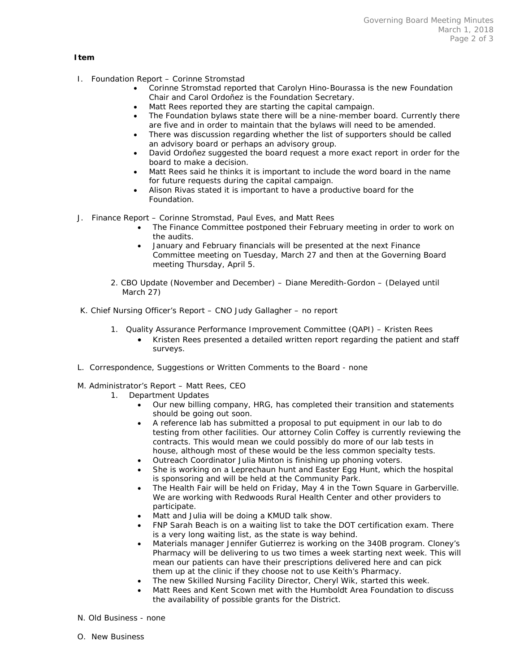### **Item**

- I. Foundation Report Corinne Stromstad
	- Corinne Stromstad reported that Carolyn Hino-Bourassa is the new Foundation Chair and Carol Ordoñez is the Foundation Secretary.
	- Matt Rees reported they are starting the capital campaign.
	- The Foundation bylaws state there will be a nine-member board. Currently there are five and in order to maintain that the bylaws will need to be amended.
	- There was discussion regarding whether the list of supporters should be called an advisory board or perhaps an advisory group.
	- David Ordoñez suggested the board request a more exact report in order for the board to make a decision.
	- Matt Rees said he thinks it is important to include the word board in the name for future requests during the capital campaign.
	- Alison Rivas stated it is important to have a productive board for the Foundation.
- J. Finance Report Corinne Stromstad, Paul Eves, and Matt Rees
	- The Finance Committee postponed their February meeting in order to work on the audits.
	- January and February financials will be presented at the next Finance Committee meeting on Tuesday, March 27 and then at the Governing Board meeting Thursday, April 5.
	- 2. CBO Update (November and December) Diane Meredith-Gordon (Delayed until March 27)
- K. Chief Nursing Officer's Report CNO Judy Gallagher no report
	- 1. Quality Assurance Performance Improvement Committee (QAPI) Kristen Rees
		- Kristen Rees presented a detailed written report regarding the patient and staff surveys.
- L. Correspondence, Suggestions or Written Comments to the Board none
- M. Administrator's Report Matt Rees, CEO
	- 1. Department Updates
		- Our new billing company, HRG, has completed their transition and statements should be going out soon.
		- A reference lab has submitted a proposal to put equipment in our lab to do testing from other facilities. Our attorney Colin Coffey is currently reviewing the contracts. This would mean we could possibly do more of our lab tests in house, although most of these would be the less common specialty tests.
		- Outreach Coordinator Julia Minton is finishing up phoning voters.
		- She is working on a Leprechaun hunt and Easter Egg Hunt, which the hospital is sponsoring and will be held at the Community Park.
		- The Health Fair will be held on Friday, May 4 in the Town Square in Garberville. We are working with Redwoods Rural Health Center and other providers to participate.
		- Matt and Julia will be doing a KMUD talk show.
		- FNP Sarah Beach is on a waiting list to take the DOT certification exam. There is a very long waiting list, as the state is way behind.
		- Materials manager Jennifer Gutierrez is working on the 340B program. Cloney's Pharmacy will be delivering to us two times a week starting next week. This will mean our patients can have their prescriptions delivered here and can pick them up at the clinic if they choose not to use Keith's Pharmacy.
		- The new Skilled Nursing Facility Director, Cheryl Wik, started this week.
		- Matt Rees and Kent Scown met with the Humboldt Area Foundation to discuss the availability of possible grants for the District.
- N. Old Business none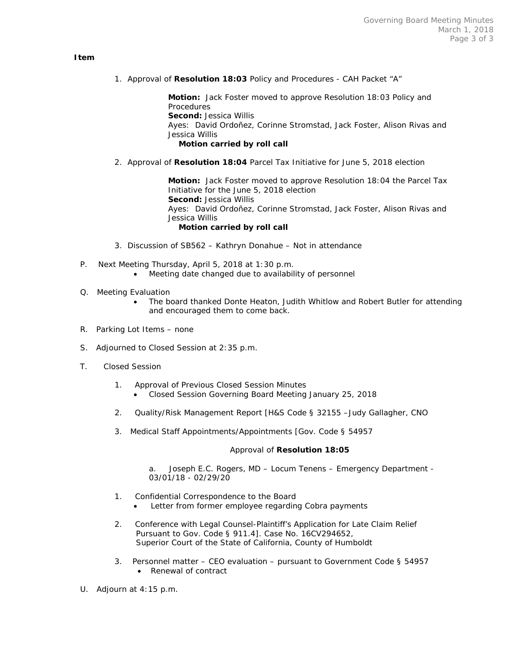#### **Item**

1. Approval of **Resolution 18:03** Policy and Procedures - CAH Packet "A"

**Motion:** Jack Foster moved to approve Resolution 18:03 Policy and Procedures **Second:** Jessica Willis Ayes: David Ordoñez, Corinne Stromstad, Jack Foster, Alison Rivas and Jessica Willis  **Motion carried by roll call**

2. Approval of **Resolution 18:04** Parcel Tax Initiative for June 5, 2018 election

**Motion:** Jack Foster moved to approve Resolution 18:04 the Parcel Tax Initiative for the June 5, 2018 election **Second:** Jessica Willis Ayes: David Ordoñez, Corinne Stromstad, Jack Foster, Alison Rivas and Jessica Willis  **Motion carried by roll call**

- 3. Discussion of SB562 Kathryn Donahue Not in attendance
- P. Next Meeting Thursday, April 5, 2018 at 1:30 p.m.
	- Meeting date changed due to availability of personnel
- Q. Meeting Evaluation
	- The board thanked Donte Heaton, Judith Whitlow and Robert Butler for attending and encouraged them to come back.
- R. Parking Lot Items none
- S. Adjourned to Closed Session at 2:35 p.m.
- T. Closed Session
	- 1. Approval of Previous Closed Session Minutes
		- Closed Session Governing Board Meeting January 25, 2018
	- 2. Quality/Risk Management Report [H&S Code § 32155 –Judy Gallagher, CNO
	- 3. Medical Staff Appointments/Appointments [Gov. Code § 54957

#### Approval of **Resolution 18:05**

a. Joseph E.C. Rogers, MD – Locum Tenens – Emergency Department - 03/01/18 - 02/29/20

- 1. Confidential Correspondence to the Board
	- Letter from former employee regarding Cobra payments
- 2. Conference with Legal Counsel-Plaintiff's Application for Late Claim Relief Pursuant to Gov. Code § 911.4]. Case No. 16CV294652, Superior Court of the State of California, County of Humboldt
- 3. Personnel matter CEO evaluation pursuant to Government Code § 54957 • Renewal of contract
- U. Adjourn at 4:15 p.m.